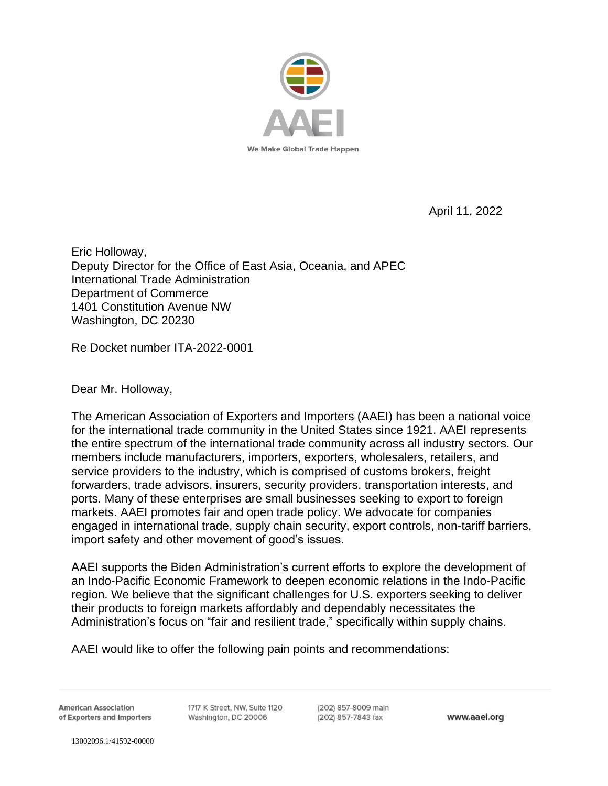

April 11, 2022

Eric Holloway, Deputy Director for the Office of East Asia, Oceania, and APEC International Trade Administration Department of Commerce 1401 Constitution Avenue NW Washington, DC 20230

Re Docket number ITA-2022-0001

Dear Mr. Holloway,

The American Association of Exporters and Importers (AAEI) has been a national voice for the international trade community in the United States since 1921. AAEI represents the entire spectrum of the international trade community across all industry sectors. Our members include manufacturers, importers, exporters, wholesalers, retailers, and service providers to the industry, which is comprised of customs brokers, freight forwarders, trade advisors, insurers, security providers, transportation interests, and ports. Many of these enterprises are small businesses seeking to export to foreign markets. AAEI promotes fair and open trade policy. We advocate for companies engaged in international trade, supply chain security, export controls, non-tariff barriers, import safety and other movement of good's issues.

AAEI supports the Biden Administration's current efforts to explore the development of an Indo-Pacific Economic Framework to deepen economic relations in the Indo-Pacific region. We believe that the significant challenges for U.S. exporters seeking to deliver their products to foreign markets affordably and dependably necessitates the Administration's focus on "fair and resilient trade," specifically within supply chains.

AAEI would like to offer the following pain points and recommendations:

**American Association** of Exporters and Importers 1717 K Street, NW, Sulte 1120 Washington, DC 20006

(202) 857-8009 main (202) 857-7843 fax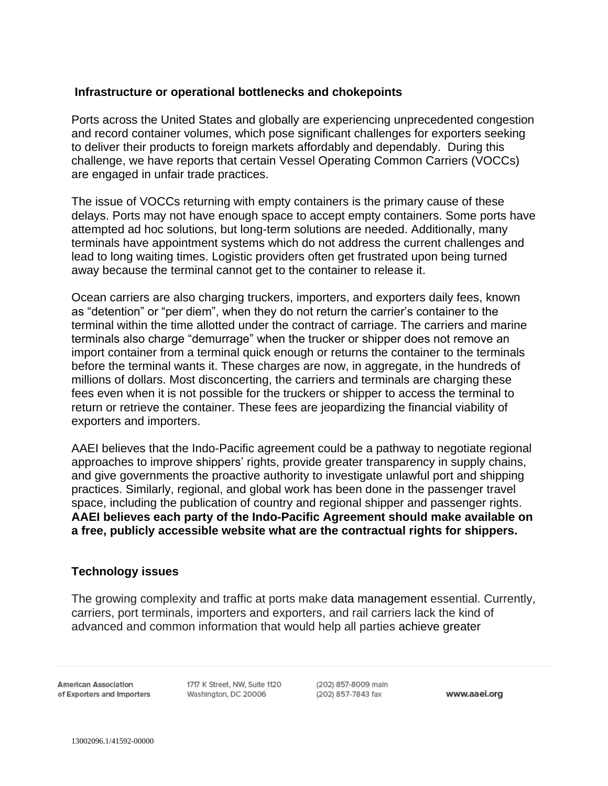## **Infrastructure or operational bottlenecks and chokepoints**

Ports across the United States and globally are experiencing unprecedented congestion and record container volumes, which pose significant challenges for exporters seeking to deliver their products to foreign markets affordably and dependably. During this challenge, we have reports that certain Vessel Operating Common Carriers (VOCCs) are engaged in unfair trade practices.

The issue of VOCCs returning with empty containers is the primary cause of these delays. Ports may not have enough space to accept empty containers. Some ports have attempted ad hoc solutions, but long-term solutions are needed. Additionally, many terminals have appointment systems which do not address the current challenges and lead to long waiting times. Logistic providers often get frustrated upon being turned away because the terminal cannot get to the container to release it.

Ocean carriers are also charging truckers, importers, and exporters daily fees, known as "detention" or "per diem", when they do not return the carrier's container to the terminal within the time allotted under the contract of carriage. The carriers and marine terminals also charge "demurrage" when the trucker or shipper does not remove an import container from a terminal quick enough or returns the container to the terminals before the terminal wants it. These charges are now, in aggregate, in the hundreds of millions of dollars. Most disconcerting, the carriers and terminals are charging these fees even when it is not possible for the truckers or shipper to access the terminal to return or retrieve the container. These fees are jeopardizing the financial viability of exporters and importers.

AAEI believes that the Indo-Pacific agreement could be a pathway to negotiate regional approaches to improve shippers' rights, provide greater transparency in supply chains, and give governments the proactive authority to investigate unlawful port and shipping practices. Similarly, regional, and global work has been done in the passenger travel space, including the publication of country and regional shipper and passenger rights. **AAEI believes each party of the Indo-Pacific Agreement should make available on a free, publicly accessible website what are the contractual rights for shippers.**

## **Technology issues**

The growing complexity and traffic at ports make data management essential. Currently, carriers, port terminals, importers and exporters, and rail carriers lack the kind of advanced and common information that would help all parties achieve greater

**American Association** of Exporters and Importers

1717 K Street, NW, Sulte 1120 Washington, DC 20006

(202) 857-8009 main (202) 857-7843 fax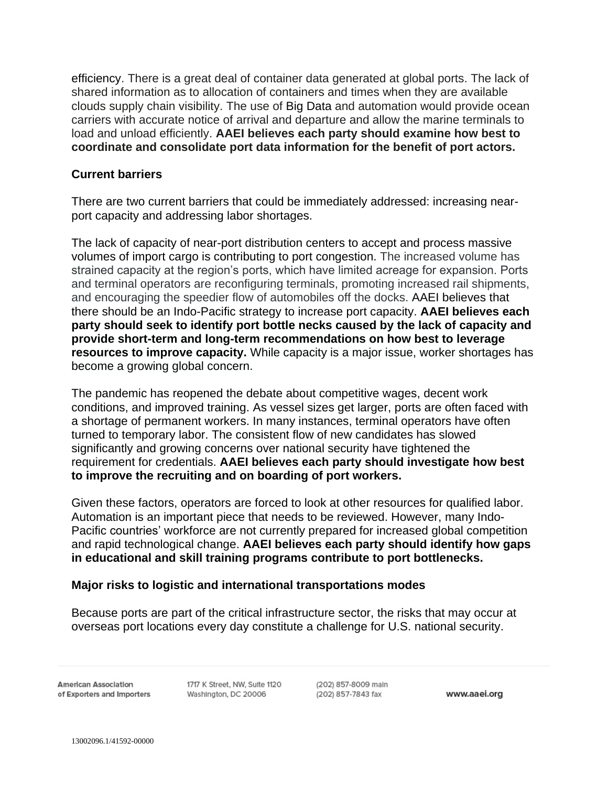efficiency. There is a great deal of container data generated at global ports. The lack of shared information as to allocation of containers and times when they are available clouds supply chain visibility. The use of Big Data and automation would provide ocean carriers with accurate notice of arrival and departure and allow the marine terminals to load and unload efficiently. **AAEI believes each party should examine how best to coordinate and consolidate port data information for the benefit of port actors.**

## **Current barriers**

There are two current barriers that could be immediately addressed: increasing nearport capacity and addressing labor shortages.

The lack of capacity of near-port distribution centers to accept and process massive volumes of import cargo is contributing to port congestion. The increased volume has strained capacity at the region's ports, which have limited acreage for expansion. Ports and terminal operators are reconfiguring terminals, promoting increased rail shipments, and encouraging the speedier flow of automobiles off the docks. AAEI believes that there should be an Indo-Pacific strategy to increase port capacity. **AAEI believes each party should seek to identify port bottle necks caused by the lack of capacity and provide short-term and long-term recommendations on how best to leverage resources to improve capacity.** While capacity is a major issue, worker shortages has become a growing global concern.

The pandemic has reopened the debate about competitive wages, decent work conditions, and improved training. As vessel sizes get larger, ports are often faced with a shortage of permanent workers. In many instances, terminal operators have often turned to temporary labor. The consistent flow of new candidates has slowed significantly and growing concerns over national security have tightened the requirement for credentials. **AAEI believes each party should investigate how best to improve the recruiting and on boarding of port workers.** 

Given these factors, operators are forced to look at other resources for qualified labor. Automation is an important piece that needs to be reviewed. However, many Indo-Pacific countries' workforce are not currently prepared for increased global competition and rapid technological change. **AAEI believes each party should identify how gaps in educational and skill training programs contribute to port bottlenecks.**

## **Major risks to logistic and international transportations modes**

Because ports are part of the critical infrastructure sector, the risks that may occur at overseas port locations every day constitute a challenge for U.S. national security.

**American Association** of Exporters and Importers

1717 K Street, NW, Sulte 1120 Washington, DC 20006

(202) 857-8009 main (202) 857-7843 fax